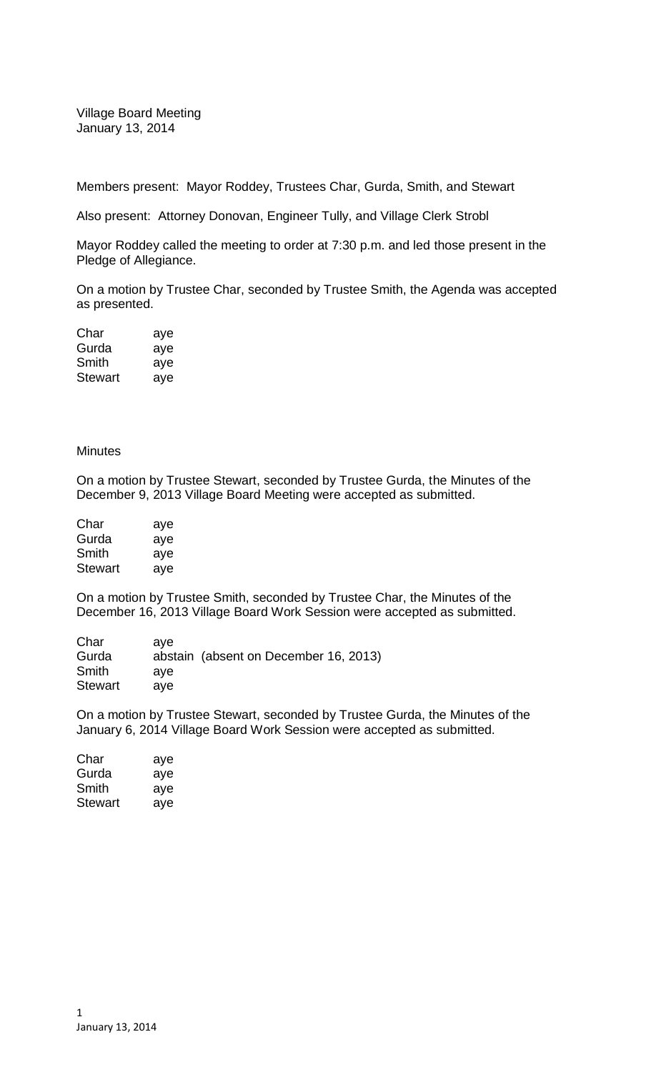Village Board Meeting January 13, 2014

Members present: Mayor Roddey, Trustees Char, Gurda, Smith, and Stewart

Also present: Attorney Donovan, Engineer Tully, and Village Clerk Strobl

Mayor Roddey called the meeting to order at 7:30 p.m. and led those present in the Pledge of Allegiance.

On a motion by Trustee Char, seconded by Trustee Smith, the Agenda was accepted as presented.

| Char           | aye |
|----------------|-----|
| Gurda          | aye |
| Smith          | aye |
| <b>Stewart</b> | aye |

## **Minutes**

On a motion by Trustee Stewart, seconded by Trustee Gurda, the Minutes of the December 9, 2013 Village Board Meeting were accepted as submitted.

| Char           | aye |
|----------------|-----|
| Gurda          | aye |
| Smith          | aye |
| <b>Stewart</b> | aye |

On a motion by Trustee Smith, seconded by Trustee Char, the Minutes of the December 16, 2013 Village Board Work Session were accepted as submitted.

| Char           | ave                                   |
|----------------|---------------------------------------|
| Gurda          | abstain (absent on December 16, 2013) |
| Smith          | ave                                   |
| <b>Stewart</b> | ave                                   |

On a motion by Trustee Stewart, seconded by Trustee Gurda, the Minutes of the January 6, 2014 Village Board Work Session were accepted as submitted.

| Char           | aye |
|----------------|-----|
| Gurda          | aye |
| Smith          | aye |
| <b>Stewart</b> | aye |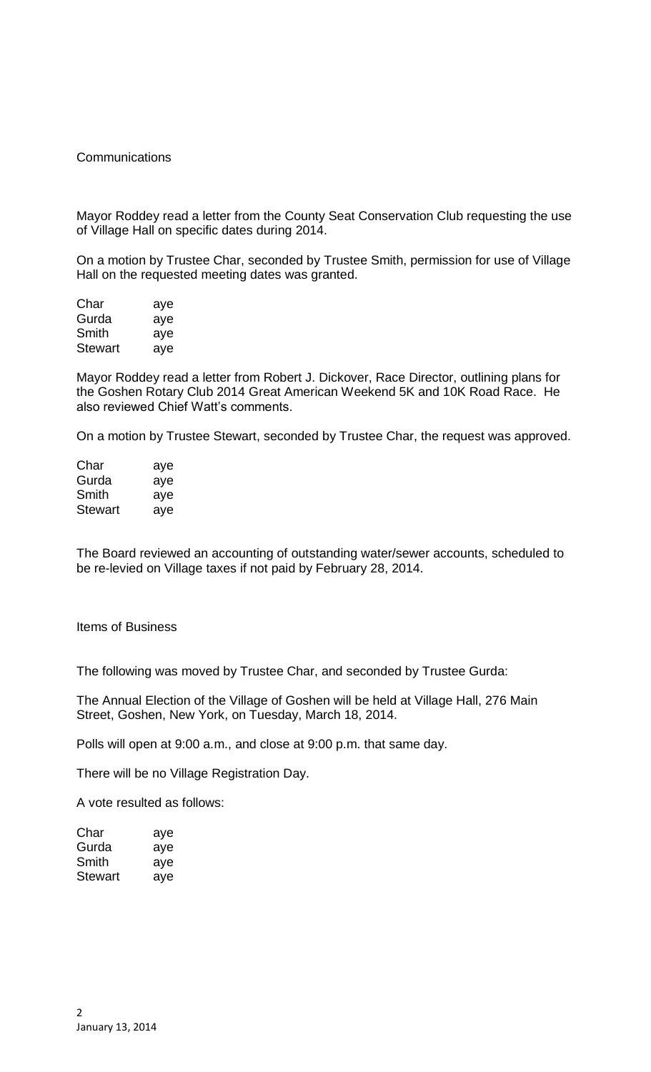## **Communications**

Mayor Roddey read a letter from the County Seat Conservation Club requesting the use of Village Hall on specific dates during 2014.

On a motion by Trustee Char, seconded by Trustee Smith, permission for use of Village Hall on the requested meeting dates was granted.

| Char    | aye |
|---------|-----|
| Gurda   | aye |
| Smith   | aye |
| Stewart | aye |

Mayor Roddey read a letter from Robert J. Dickover, Race Director, outlining plans for the Goshen Rotary Club 2014 Great American Weekend 5K and 10K Road Race. He also reviewed Chief Watt's comments.

On a motion by Trustee Stewart, seconded by Trustee Char, the request was approved.

| Char           | aye |
|----------------|-----|
| Gurda          | aye |
| Smith          | aye |
| <b>Stewart</b> | aye |

The Board reviewed an accounting of outstanding water/sewer accounts, scheduled to be re-levied on Village taxes if not paid by February 28, 2014.

Items of Business

The following was moved by Trustee Char, and seconded by Trustee Gurda:

The Annual Election of the Village of Goshen will be held at Village Hall, 276 Main Street, Goshen, New York, on Tuesday, March 18, 2014.

Polls will open at 9:00 a.m., and close at 9:00 p.m. that same day.

There will be no Village Registration Day.

A vote resulted as follows:

| Char    | aye |
|---------|-----|
| Gurda   | aye |
| Smith   | aye |
| Stewart | aye |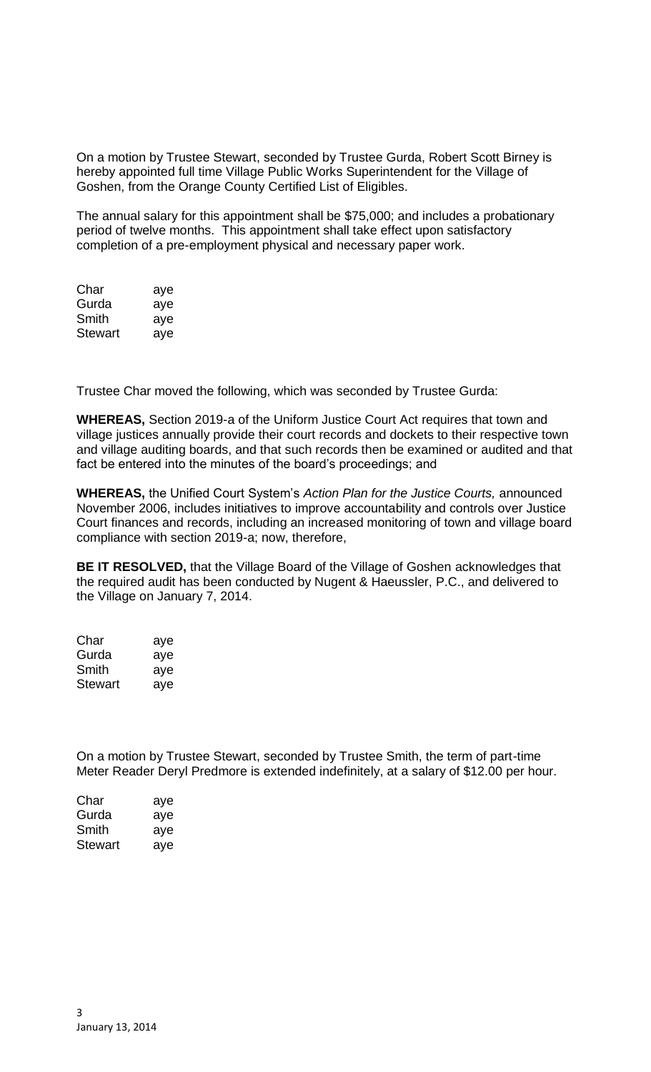On a motion by Trustee Stewart, seconded by Trustee Gurda, Robert Scott Birney is hereby appointed full time Village Public Works Superintendent for the Village of Goshen, from the Orange County Certified List of Eligibles.

The annual salary for this appointment shall be \$75,000; and includes a probationary period of twelve months. This appointment shall take effect upon satisfactory completion of a pre-employment physical and necessary paper work.

| Char           | aye |
|----------------|-----|
| Gurda          | aye |
| Smith          | aye |
| <b>Stewart</b> | aye |

Trustee Char moved the following, which was seconded by Trustee Gurda:

**WHEREAS,** Section 2019-a of the Uniform Justice Court Act requires that town and village justices annually provide their court records and dockets to their respective town and village auditing boards, and that such records then be examined or audited and that fact be entered into the minutes of the board's proceedings; and

**WHEREAS,** the Unified Court System's *Action Plan for the Justice Courts,* announced November 2006, includes initiatives to improve accountability and controls over Justice Court finances and records, including an increased monitoring of town and village board compliance with section 2019-a; now, therefore,

**BE IT RESOLVED,** that the Village Board of the Village of Goshen acknowledges that the required audit has been conducted by Nugent & Haeussler, P.C., and delivered to the Village on January 7, 2014.

| Char    | aye |
|---------|-----|
| Gurda   | aye |
| Smith   | aye |
| Stewart | aye |

On a motion by Trustee Stewart, seconded by Trustee Smith, the term of part-time Meter Reader Deryl Predmore is extended indefinitely, at a salary of \$12.00 per hour.

| Char    | aye |
|---------|-----|
| Gurda   | aye |
| Smith   | aye |
| Stewart | aye |